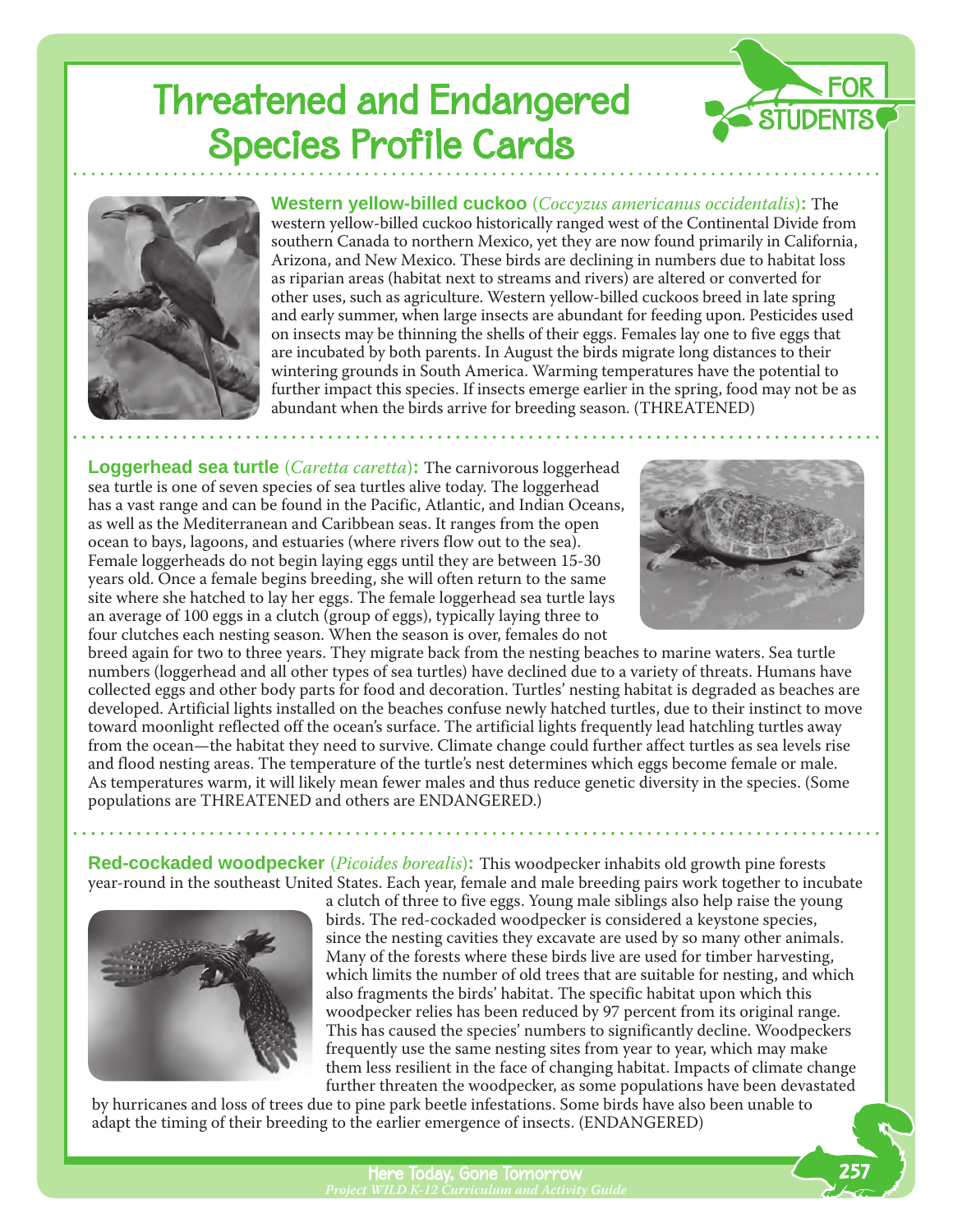## Threatened and Endangered Species Profile Cards





**Western yellow-billed cuckoo** (*Coccyzus americanus occidentalis*)**:** The western yellow-billed cuckoo historically ranged west of the Continental Divide from southern Canada to northern Mexico, yet they are now found primarily in California, Arizona, and New Mexico. These birds are declining in numbers due to habitat loss as riparian areas (habitat next to streams and rivers) are altered or converted for other uses, such as agriculture. Western yellow-billed cuckoos breed in late spring and early summer, when large insects are abundant for feeding upon. Pesticides used on insects may be thinning the shells of their eggs. Females lay one to five eggs that are incubated by both parents. In August the birds migrate long distances to their wintering grounds in South America. Warming temperatures have the potential to further impact this species. If insects emerge earlier in the spring, food may not be as abundant when the birds arrive for breeding season. (THREATENED)

**Loggerhead sea turtle** (*Caretta caretta*)**:** The carnivorous loggerhead sea turtle is one of seven species of sea turtles alive today. The loggerhead has a vast range and can be found in the Pacific, Atlantic, and Indian Oceans, as well as the Mediterranean and Caribbean seas. It ranges from the open ocean to bays, lagoons, and estuaries (where rivers flow out to the sea). Female loggerheads do not begin laying eggs until they are between 15-30 years old. Once a female begins breeding, she will often return to the same site where she hatched to lay her eggs. The female loggerhead sea turtle lays an average of 100 eggs in a clutch (group of eggs), typically laying three to four clutches each nesting season. When the season is over, females do not



breed again for two to three years. They migrate back from the nesting beaches to marine waters. Sea turtle numbers (loggerhead and all other types of sea turtles) have declined due to a variety of threats. Humans have collected eggs and other body parts for food and decoration. Turtles' nesting habitat is degraded as beaches are developed. Artificial lights installed on the beaches confuse newly hatched turtles, due to their instinct to move toward moonlight reflected off the ocean's surface. The artificial lights frequently lead hatchling turtles away from the ocean—the habitat they need to survive. Climate change could further affect turtles as sea levels rise and flood nesting areas. The temperature of the turtle's nest determines which eggs become female or male. As temperatures warm, it will likely mean fewer males and thus reduce genetic diversity in the species. (Some populations are THREATENED and others are ENDANGERED.)

**Red-cockaded woodpecker** (*Picoides borealis*)**:** This woodpecker inhabits old growth pine forests year-round in the southeast United States. Each year, female and male breeding pairs work together to incubate



a clutch of three to five eggs. Young male siblings also help raise the young birds. The red-cockaded woodpecker is considered a keystone species, since the nesting cavities they excavate are used by so many other animals. Many of the forests where these birds live are used for timber harvesting, which limits the number of old trees that are suitable for nesting, and which also fragments the birds' habitat. The specific habitat upon which this woodpecker relies has been reduced by 97 percent from its original range. This has caused the species' numbers to significantly decline. Woodpeckers frequently use the same nesting sites from year to year, which may make them less resilient in the face of changing habitat. Impacts of climate change further threaten the woodpecker, as some populations have been devastated

 by hurricanes and loss of trees due to pine park beetle infestations. Some birds have also been unable to adapt the timing of their breeding to the earlier emergence of insects. (ENDANGERED)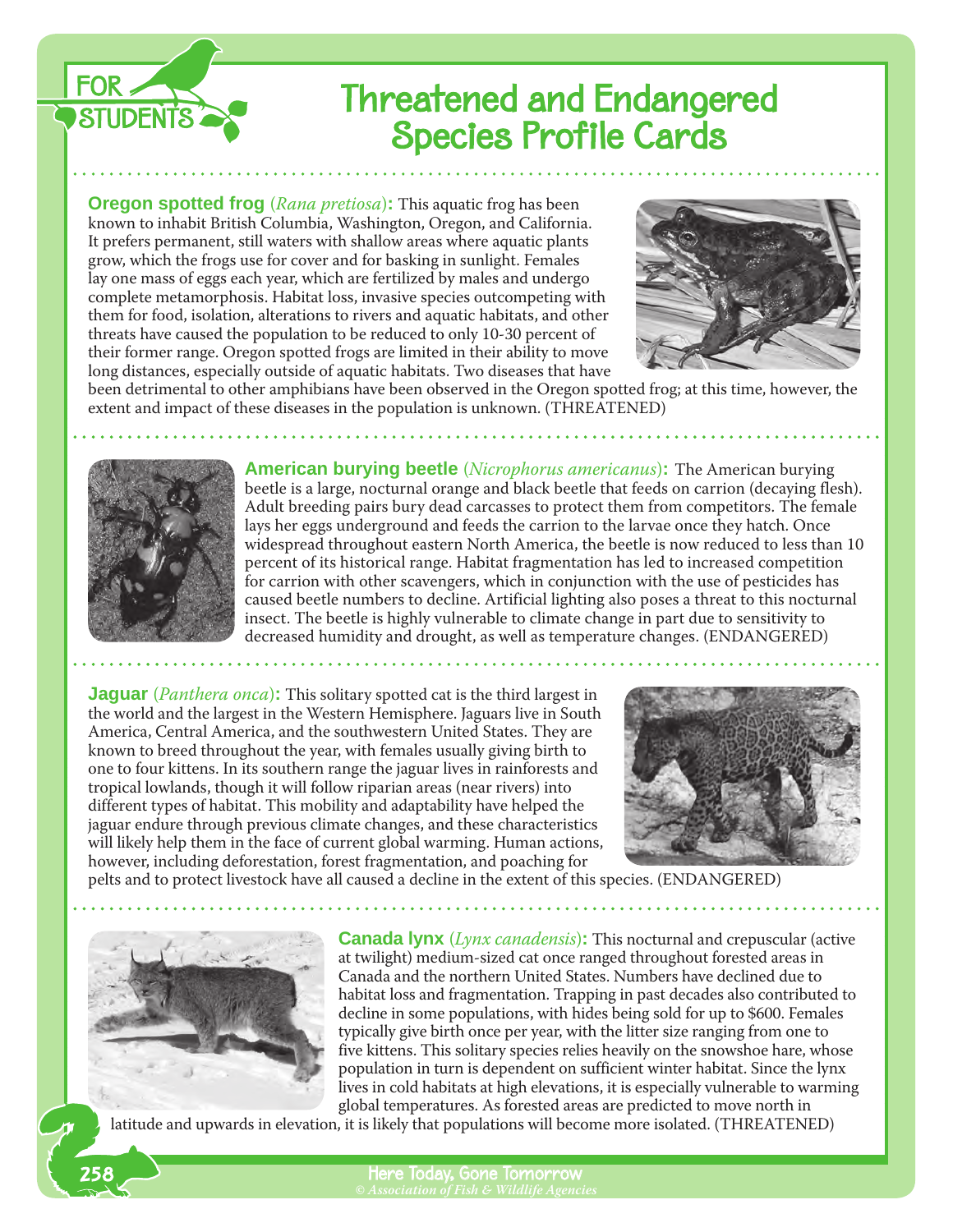

## Threatened and Endangered Species Profile Cards

**Oregon spotted frog** (*Rana pretiosa*)**:** This aquatic frog has been known to inhabit British Columbia, Washington, Oregon, and California. It prefers permanent, still waters with shallow areas where aquatic plants grow, which the frogs use for cover and for basking in sunlight. Females lay one mass of eggs each year, which are fertilized by males and undergo complete metamorphosis. Habitat loss, invasive species outcompeting with them for food, isolation, alterations to rivers and aquatic habitats, and other threats have caused the population to be reduced to only 10-30 percent of their former range. Oregon spotted frogs are limited in their ability to move long distances, especially outside of aquatic habitats. Two diseases that have



been detrimental to other amphibians have been observed in the Oregon spotted frog; at this time, however, the extent and impact of these diseases in the population is unknown. (THREATENED)



**American burying beetle** (*Nicrophorus americanus*)**:** The American burying beetle is a large, nocturnal orange and black beetle that feeds on carrion (decaying flesh). Adult breeding pairs bury dead carcasses to protect them from competitors. The female lays her eggs underground and feeds the carrion to the larvae once they hatch. Once widespread throughout eastern North America, the beetle is now reduced to less than 10 percent of its historical range. Habitat fragmentation has led to increased competition for carrion with other scavengers, which in conjunction with the use of pesticides has caused beetle numbers to decline. Artificial lighting also poses a threat to this nocturnal insect. The beetle is highly vulnerable to climate change in part due to sensitivity to decreased humidity and drought, as well as temperature changes. (ENDANGERED)

**Jaguar** (*Panthera onca*)**:** This solitary spotted cat is the third largest in the world and the largest in the Western Hemisphere. Jaguars live in South America, Central America, and the southwestern United States. They are known to breed throughout the year, with females usually giving birth to one to four kittens. In its southern range the jaguar lives in rainforests and tropical lowlands, though it will follow riparian areas (near rivers) into different types of habitat. This mobility and adaptability have helped the jaguar endure through previous climate changes, and these characteristics will likely help them in the face of current global warming. Human actions, however, including deforestation, forest fragmentation, and poaching for



pelts and to protect livestock have all caused a decline in the extent of this species. (ENDANGERED)



258

**Canada lynx** (*Lynx canadensis*)**:** This nocturnal and crepuscular (active at twilight) medium-sized cat once ranged throughout forested areas in Canada and the northern United States. Numbers have declined due to habitat loss and fragmentation. Trapping in past decades also contributed to decline in some populations, with hides being sold for up to \$600. Females typically give birth once per year, with the litter size ranging from one to five kittens. This solitary species relies heavily on the snowshoe hare, whose population in turn is dependent on sufficient winter habitat. Since the lynx lives in cold habitats at high elevations, it is especially vulnerable to warming global temperatures. As forested areas are predicted to move north in

latitude and upwards in elevation, it is likely that populations will become more isolated. (THREATENED)